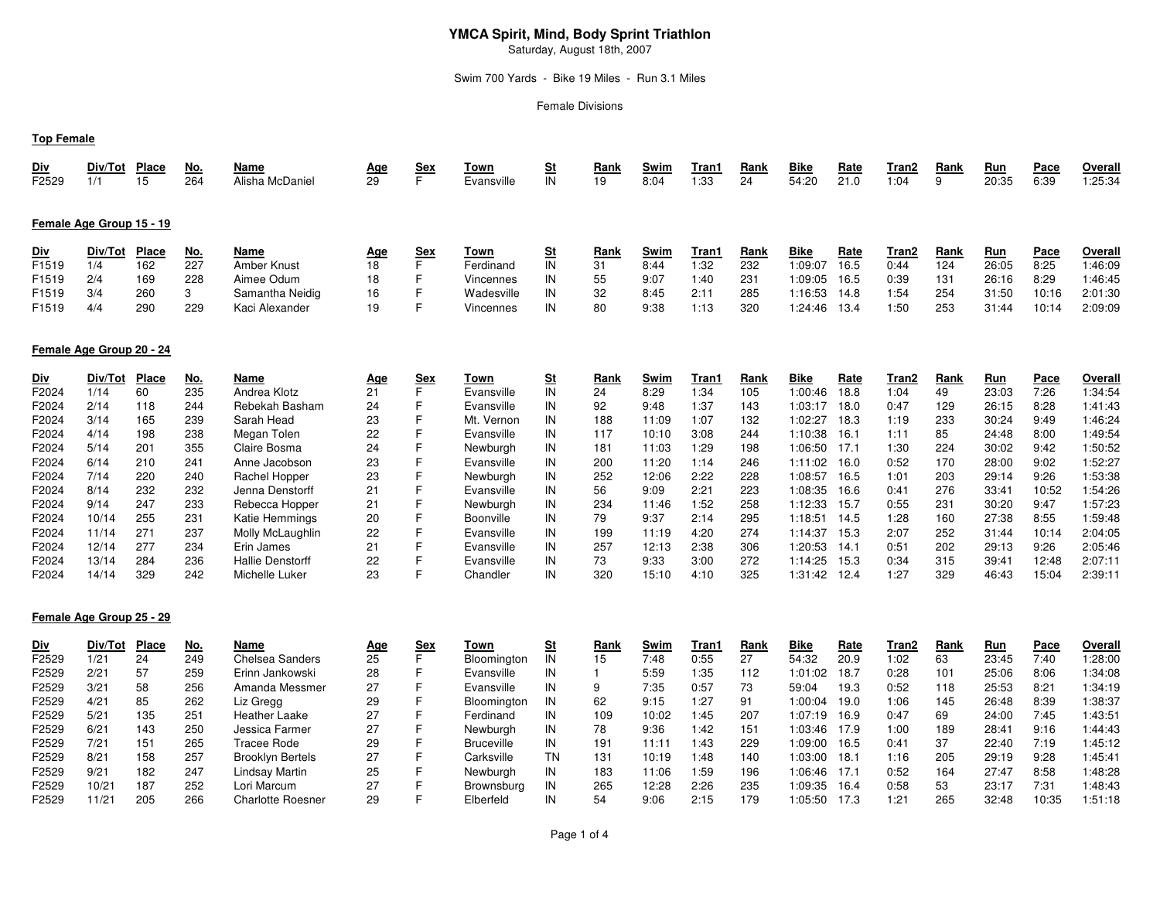## **YMCA Spirit, Mind, Body Sprint Triathlon**

Saturday, August 18th, 2007

## Swim 700 Yards - Bike 19 Miles - Run 3.1 Miles

Female Divisions

## **Top Female**

| <u>Div</u>                   | Div/Tot                  | Place              | <u>No.</u>               | Name                                   | <u>Age</u>             | <u>Sex</u> | Town                             | <u>St</u>                             | Rank             | Swim                 | Tran1                 | Rank               | Bike                              | <b>Rate</b>                 | Tran2                 | Rank              | <u>Run</u>                   | Pace                        | Overall                       |
|------------------------------|--------------------------|--------------------|--------------------------|----------------------------------------|------------------------|------------|----------------------------------|---------------------------------------|------------------|----------------------|-----------------------|--------------------|-----------------------------------|-----------------------------|-----------------------|-------------------|------------------------------|-----------------------------|-------------------------------|
| F2529                        | 1/1                      | 15                 | 264                      | Alisha McDaniel                        | 29                     |            | Evansville                       | IN                                    | 19               | 8:04                 | 1:33                  | 24                 | 54:20                             | 21.0                        | 1:04                  | 9                 | 20:35                        | 6:39                        | 1:25:34                       |
|                              | Female Age Group 15 - 19 |                    |                          |                                        |                        |            |                                  |                                       |                  |                      |                       |                    |                                   |                             |                       |                   |                              |                             |                               |
| <u>Div</u>                   | Div/Tot                  | <b>Place</b>       | <u>No.</u>               | Name                                   | <u>Age</u>             | <u>Sex</u> | Town                             | $\underline{\underline{\mathsf{St}}}$ | Rank             | Swim                 | Tran1                 | Rank               | Bike                              | <u>Rate</u>                 | Tran2                 | Rank              | <u>Run</u>                   | <u>Pace</u>                 | Overall                       |
| F1519                        | 1/4                      | 162                | 227                      | Amber Knust                            | 18                     |            | Ferdinand                        | IN                                    | 31               | 8:44                 | 1:32                  | 232                | 1:09:07                           | 16.5                        | 0:44                  | 124               | 26:05                        | 8:25                        | 1:46:09                       |
| F <sub>1519</sub>            | 2/4                      | 169                | 228                      | Aimee Odum                             | 18                     |            | Vincennes                        | IN                                    | 55               | 9:07                 | 1:40                  | 231                | 1:09:05                           | 16.5                        | 0:39                  | 131               | 26:16                        | 8:29                        | 1:46:45                       |
| F <sub>1519</sub>            | 3/4                      | 260                | з                        | Samantha Neidig                        | 16                     |            | Wadesville                       | IN                                    | 32               | 8:45                 | 2:11                  | 285                | 1:16:53                           | 14.8                        | 1:54                  | 254               | 31:50                        | 10:16                       | 2:01:30                       |
| F <sub>1519</sub>            | 4/4                      | 290                | 229                      | Kaci Alexander                         | 19                     |            | <b>Vincennes</b>                 | IN                                    | 80               | 9:38                 | 1:13                  | 320                | 1:24:46                           | 13.4                        | 1:50                  | 253               | 31:44                        | 10:14                       | 2:09:09                       |
|                              | Female Age Group 20 - 24 |                    |                          |                                        |                        |            |                                  |                                       |                  |                      |                       |                    |                                   |                             |                       |                   |                              |                             |                               |
| <u>Div</u><br>F2024<br>F2024 | Div/Tot<br>1/14<br>2/14  | Place<br>60<br>118 | <u>No.</u><br>235<br>244 | Name<br>Andrea Klotz<br>Rebekah Basham | <u>Age</u><br>21<br>24 | <u>Sex</u> | Town<br>Evansville<br>Evansville | <u>St</u><br>IN<br>IN                 | Rank<br>24<br>92 | Swim<br>8:29<br>9:48 | Tran1<br>1:34<br>1:37 | Rank<br>105<br>143 | <b>Bike</b><br>1:00:46<br>1:03:17 | <u>Rate</u><br>18.8<br>18.0 | Tran2<br>1:04<br>0:47 | Rank<br>49<br>129 | <u>Run</u><br>23:03<br>26:15 | <u>Pace</u><br>7:26<br>8:28 | Overall<br>1:34:54<br>1:41:43 |
| F2024                        | 3/14                     | 165                | 239                      | Sarah Head                             | 23                     |            | Mt. Vernon                       | IN                                    | 188              | 11:09                | 1:07                  | 132                | 1:02:27                           | 18.3                        | 1:19                  | 233               | 30:24                        | 9:49                        | 1:46:24                       |
| F2024                        | 4/14                     | 198                | 238                      | Megan Tolen                            | 22                     |            | Evansville                       | IN                                    | 117              | 10:10                | 3:08                  | 244                | 1:10:38                           | 16.1                        | 1:11                  | 85                | 24:48                        | 8:00                        | 1:49:54                       |
| F2024                        | 5/14                     | 201                | 355                      | Claire Bosma                           | 24                     |            | Newburgh                         | IN                                    | 181              | 11:03                | 1:29                  | 198                | 1:06:50                           | 17.1                        | 1:30                  | 224               | 30:02                        | 9:42                        | 1:50:52                       |

F2024 7/14 220 240 Rachel Hopper 23 F Newburgh IN 252 12:06 2:22 228 1:08:57 16.5 1:01 203 29:14 9:26 1:53:38

F2024 9/14 247 233 Rebecca Hopper 21 F Newburgh IN 234 11:46 1:52 258 1:12:33 15.7 0:55 231 30:20 9:47 1:57:23

F2024 10/14 255 231 Katie Hemmings 20 F Boonville IN 79 9:37 2:14 295 1:18:51 14.5 1:28 160 27:38 8:55 1:59:48

F2024 11/14 271 237 Molly McLaughlin 22 F Evansville IN 199 11:19 4:20 274 1:14:37 15.3 2:07 252 31:44 10:14 2:04:05

F2024 12/14 277 234 Erin James 21 F Evansville IN 257 12:13 2:38 306 1:20:53 14.1 0:51 202 29:13 9:26 2:05:46

F2024 13/14 284 236 Hallie Denstorff 22 F Evansville IN 73 9:33 3:00 272 1:14:25 15.3 0:34 315 39:41 12:48 2:07:11

F2024 6/14 210 241 Anne Jacobson 23 F Evansville IN 200 11:20

F2024 8/14 232 232 Jenna Denstorff 21 F Evansville IN 56 9:09

F2024 14/14 329 <sup>242</sup> Michelle Luker 23 F Chandler IN 320 15:10

1:52:27

1:54:26

1:59:48

2:04:05

 $2:05:46$ 

2:07:11

2:39:11

1:14 <sup>246</sup> 1:11:02 16.0 0:52 <sup>170</sup> 28:00 9:02 1:52:27

15:10 4:10 325 1:31:42 12.4 1:27 329 46:43 15:04

2:21 <sup>223</sup> 1:08:35 16.6 0:41 <sup>276</sup> 33:41 10:52 1:54:26

#### **Female Age Group 25 - 29**

| <u>Div</u> | Div/Tot | <b>Place</b> | No. | Name                     | <u>Age</u> | <u>Sex</u> | Town              |     | Rank | Swim  | Tran1 | Rank | Bike    | <b>Rate</b> | Tran2 | Rank | <u>Run</u> | Pace  | Overall |
|------------|---------|--------------|-----|--------------------------|------------|------------|-------------------|-----|------|-------|-------|------|---------|-------------|-------|------|------------|-------|---------|
| F2529      | 1/21    | 24           | 249 | <b>Chelsea Sanders</b>   | 25         |            | Bloomington       |     | 15   | 7:48  | 0:55  | 27   | 54:32   | 20.9        | 1:02  | 63   | 23:45      | 7:40  | :28:00  |
| F2529      | 2/21    | 57           | 259 | Erinn Jankowski          | 28         |            | Evansville        | IN  |      | 5:59  | 1:35  | 112  | 1:01:02 | 18.7        | 0:28  | 101  | 25:06      | 8:06  | 1:34:08 |
| F2529      | 3/21    | 58           | 256 | Amanda Messmer           | 27         |            | Evansville        | IN. |      | 7:35  | 0:57  | 73   | 59:04   | 19.3        | 0:52  | 118  | 25:53      | 8:21  | 1:34:19 |
| F2529      | 4/21    | 85           | 262 | Liz Gregg                | 29         |            | Bloomington       |     |      | 9:15  | 1:27  | 91   | 1:00:04 | 19.0        | 1:06  | 145  | 26:48      | 8:39  | :38:37  |
| F2529      | 5/21    | 135          | 251 | Heather Laake            | 27         |            | Ferdinand         | IN  | 109  | 10:02 | 1:45  | 207  | 1:07:19 | 16.9        | 0:47  | 69   | 24:00      | 7:45  | 1:43:51 |
| F2529      | 6/21    | 143          | 250 | Jessica Farmer           | 27         |            | Newburah          | IN  | 78   | 9:36  | 1:42  | 151  | 1:03:46 | 17.9        | 1:00  | 189  | 28:41      | 9:16  | 1:44:43 |
| F2529      | 7/21    | 151          | 265 | Tracee Rode              | 29         |            | <b>Bruceville</b> | IN  | 191  | 11:11 | 1:43  | 229  | 1:09:00 | 16.5        | 0:41  | 37   | 22:40      | 7:19  | 1:45:12 |
| F2529      | 8/21    | 158          | 257 | <b>Brooklyn Bertels</b>  | 27         |            | Carksville        | TN  | 131  | 10:19 | 1:48  | 140  | 1:03:00 | 18.1        | 1:16  | 205  | 29:19      | 9:28  | 1:45:41 |
| F2529      | 9/21    | 182          | 247 | Lindsay Martin           | 25         |            | Newburgh          | IN  | 183  | 11:06 | 1:59  | 196  | 1:06:46 | 17.1        | 0:52  | 164  | 27:47      | 8:58  | 1:48:28 |
| F2529      | 10/21   | 187          | 252 | Lori Marcum              | 27         |            | Brownsburg        | IN  | 265  | 12:28 | 2:26  | 235  | 1:09:35 | 16.4        | 0:58  | 53   | 23:17      | 7:31  | 1:48:43 |
| F2529      | 11/21   | 205          | 266 | <b>Charlotte Roesner</b> | 29         |            | Elberfeld         |     | 54   | 9:06  | 2:15  | 179  | 1:05:50 | 17.3        | 1:21  | 265  | 32:48      | 10:35 | 1:51:18 |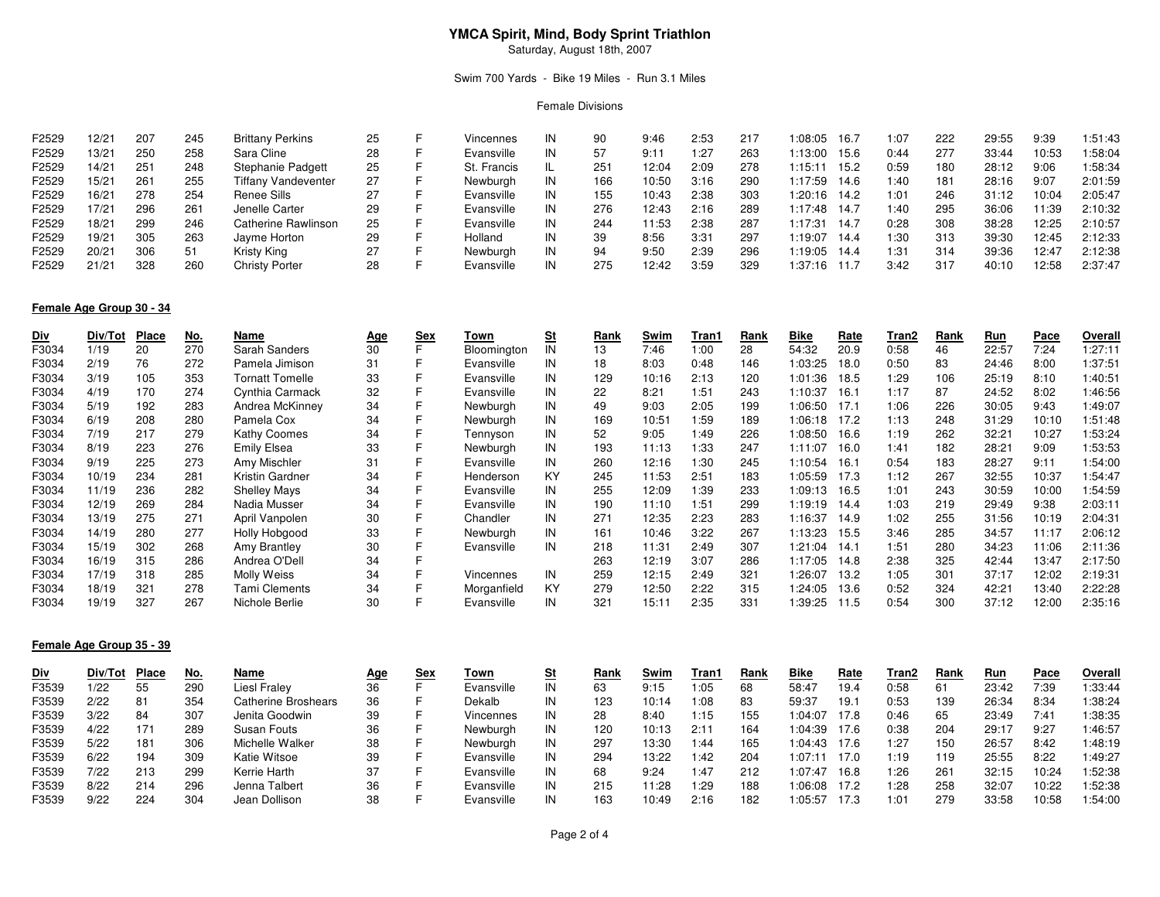# **YMCA Spirit, Mind, Body Sprint Triathlon**

Saturday, August 18th, 2007

## Swim 700 Yards - Bike 19 Miles - Run 3.1 Miles

#### Female Divisions

| F2529 | $12/2^{-}$ | 207 | 245 | <b>Brittany Perkins</b> | 25 | Vincennes   | IN | 90  | 9:46  | 2:53 | 217 | :08:05<br>16.7  |      | 1:07 | 222 | 29:55 | 9:39  | :51:43  |
|-------|------------|-----|-----|-------------------------|----|-------------|----|-----|-------|------|-----|-----------------|------|------|-----|-------|-------|---------|
| F2529 | 13/21      | 250 | 258 | Sara Cline              | 28 | Evansville  | IN | 57  | 9:1   | 1:27 | 263 | 1:13:00         | 15.6 | 0:44 | 277 | 33:44 | 10:53 | :58:04  |
| F2529 | 14/21      | 251 | 248 | Stephanie Padgett       | 25 | St. Francis |    | 251 | 12:04 | 2:09 | 278 | 1:15:11<br>15.2 |      | 0:59 | 180 | 28:12 | 9:06  | 1:58:34 |
| F2529 | 15/21      | 261 | 255 | Tiffany Vandeventer     | 27 | Newburgh    | IN | 166 | 10:50 | 3:16 | 290 | 1:17:59         | 14.6 | 1:40 | 181 | 28:16 | 9:07  | 2:01:59 |
| F2529 | 16/21      | 278 | 254 | Renee Sills             | 27 | Evansville  | IN | 155 | 10:43 | 2:38 | 303 | 1:20:16<br>14.2 |      | 1:01 | 246 | 31:12 | 10:04 | 2:05:47 |
| F2529 | 17/21      | 296 | 261 | Jenelle Carter          | 29 | Evansville  | IN | 276 | 12:43 | 2:16 | 289 | 1:17:48<br>14.7 |      | 1:40 | 295 | 36:06 | 11:39 | 2:10:32 |
| F2529 | 18/21      | 299 | 246 | Catherine Rawlinson     | 25 | Evansville  | IN | 244 | 11:53 | 2:38 | 287 | 1:17:31<br>14.7 |      | 0:28 | 308 | 38:28 | 12:25 | 2:10:57 |
| F2529 | 19/21      | 305 | 263 | Jayme Horton            | 29 | Holland     | IN | 39  | 8:56  | 3:31 | 297 | 1:19:07<br>14.4 |      | 1:30 | 313 | 39:30 | 12:45 | 2:12:33 |
| F2529 | 20/21      | 306 | 51  | Kristy King             | 27 | Newburgh    | IN | 94  | 9:50  | 2:39 | 296 | 1:19:05<br>14.4 |      | 1:31 | 314 | 39:36 | 12:47 | 2:12:38 |
| F2529 | 21/21      | 328 | 260 | <b>Christy Porter</b>   | 28 | Evansville  | IN | 275 | 12:42 | 3:59 | 329 | 1:37:16         | 1.7  | 3:42 | 317 | 40:10 | 12:58 | 2:37:47 |

## **Female Age Group 30 - 34**

| <u>Div</u> | Div/Tot | Place | <u>No.</u> | Name                | <u>Age</u> | <u>Sex</u> | Town             | <u>St</u> | Rank | Swim  | Tran1 | Rank | <u>Bike</u> | <u>Rate</u> | Tran2 | Rank | <u>Run</u> | Pace  | Overall |
|------------|---------|-------|------------|---------------------|------------|------------|------------------|-----------|------|-------|-------|------|-------------|-------------|-------|------|------------|-------|---------|
| F3034      | 1/19    | 20    | 270        | Sarah Sanders       | 30         |            | Bloomington      | IN        | 13   | 7:46  | 1:00  | 28   | 54:32       | 20.9        | 0:58  | 46   | 22:57      | 7:24  | 1:27:11 |
| F3034      | 2/19    | 76    | 272        | Pamela Jimison      | 31         |            | Evansville       | IN        | 18   | 8:03  | 0:48  | 146  | 1:03:25     | 18.0        | 0:50  | 83   | 24:46      | 8:00  | 1:37:51 |
| F3034      | 3/19    | 105   | 353        | Tornatt Tomelle     | 33         |            | Evansville       | IN        | 129  | 10:16 | 2:13  | 120  | 1:01:36     | 18.5        | 1:29  | 106  | 25:19      | 8:10  | 1:40:51 |
| F3034      | 4/19    | 170   | 274        | Cynthia Carmack     | 32         |            | Evansville       | IN        | 22   | 8:21  | 1:51  | 243  | 1:10:37     | 16.1        | 1:17  | 87   | 24:52      | 8:02  | 1:46:56 |
| F3034      | 5/19    | 192   | 283        | Andrea McKinney     | 34         |            | Newburgh         | IN        | 49   | 9:03  | 2:05  | 199  | 1:06:50     | 17.1        | 1:06  | 226  | 30:05      | 9:43  | 1:49:07 |
| F3034      | 6/19    | 208   | 280        | Pamela Cox          | 34         |            | Newburgh         | IN        | 169  | 10:51 | 1:59  | 189  | 1:06:18     | 17.2        | 1:13  | 248  | 31:29      | 10:10 | 1:51:48 |
| F3034      | 7/19    | 217   | 279        | Kathy Coomes        | 34         |            | Tennyson         | IN        | 52   | 9:05  | 1:49  | 226  | 1:08:50     | 16.6        | 1:19  | 262  | 32:21      | 10:27 | 1:53:24 |
| F3034      | 8/19    | 223   | 276        | <b>Emily Elsea</b>  | 33         |            | Newburgh         | IN        | 193  | 11:13 | 1:33  | 247  | 1:11:07     | 16.0        | 1:41  | 182  | 28:21      | 9:09  | 1:53:53 |
| F3034      | 9/19    | 225   | 273        | Amy Mischler        | 31         |            | Evansville       | IN        | 260  | 12:16 | 1:30  | 245  | 1:10:54     | 16.1        | 0:54  | 183  | 28:27      | 9:11  | 1:54:00 |
| F3034      | 10/19   | 234   | 281        | Kristin Gardner     | 34         |            | Henderson        | KY        | 245  | 11:53 | 2:51  | 183  | 1:05:59     | 17.3        | 1:12  | 267  | 32:55      | 10:37 | 1:54:47 |
| F3034      | 11/19   | 236   | 282        | <b>Shelley Mays</b> | 34         |            | Evansville       | IN        | 255  | 12:09 | 1:39  | 233  | 1:09:13     | 16.5        | 1:01  | 243  | 30:59      | 10:00 | 1:54:59 |
| F3034      | 12/19   | 269   | 284        | Nadia Musser        | 34         |            | Evansville       | IN        | 190  | 11:10 | 1:51  | 299  | 1:19:19     | 14.4        | 1:03  | 219  | 29:49      | 9:38  | 2:03:11 |
| F3034      | 13/19   | 275   | 271        | April Vanpolen      | 30         |            | Chandler         | IN        | 271  | 12:35 | 2:23  | 283  | 1:16:37     | 14.9        | 1:02  | 255  | 31:56      | 10:19 | 2:04:31 |
| F3034      | 14/19   | 280   | 277        | Holly Hobgood       | 33         |            | Newburgh         | IN        | 161  | 10:46 | 3:22  | 267  | 1:13:23     | 15.5        | 3:46  | 285  | 34:57      | 11:17 | 2:06:12 |
| F3034      | 15/19   | 302   | 268        | Amy Brantley        | 30         |            | Evansville       | IN        | 218  | 11:31 | 2:49  | 307  | 1:21:04     | 14.1        | 1:51  | 280  | 34:23      | 11:06 | 2:11:36 |
| F3034      | 16/19   | 315   | 286        | Andrea O'Dell       | 34         |            |                  |           | 263  | 12:19 | 3:07  | 286  | 1:17:05     | 14.8        | 2:38  | 325  | 42:44      | 13:47 | 2:17:50 |
| F3034      | 17/19   | 318   | 285        | Molly Weiss         | 34         |            | <b>Vincennes</b> | IN        | 259  | 12:15 | 2:49  | 321  | 1:26:07     | 13.2        | 1:05  | 301  | 37:17      | 12:02 | 2:19:31 |
| F3034      | 18/19   | 321   | 278        | Tami Clements       | 34         |            | Morganfield      | KY        | 279  | 12:50 | 2:22  | 315  | 1:24:05     | 13.6        | 0:52  | 324  | 42:21      | 13:40 | 2:22:28 |
| F3034      | 19/19   | 327   | 267        | Nichole Berlie      | 30         |            | Evansville       | IN        | 321  | 15:11 | 2:35  | 331  | 1:39:25     | 11.5        | 0:54  | 300  | 37:12      | 12:00 | 2:35:16 |

## **Female Age Group 35 - 39**

| <u>Div</u> | Div/Tot | <b>Place</b> | No. | Name                       | Age | Sex | Town       |     | Rank | Swim  | Tran1 | Rank | Bike    | Rate | Tran2 | Rank            | Run   | Pace  | Overall |
|------------|---------|--------------|-----|----------------------------|-----|-----|------------|-----|------|-------|-------|------|---------|------|-------|-----------------|-------|-------|---------|
| F3539      | 1/22    | 55           | 290 | Liesl Fraley               | 36  |     | Evansville |     | 63   | 9:15  | 05: ا | 68   | 58:47   | 19.4 | 0:58  | 61              | 23:42 | 7:39  | 1:33:44 |
| F3539      | 2/22    | 81           | 354 | <b>Catherine Broshears</b> | 36  |     | Dekalb     |     | 123  | 10:14 | :08   | 83   | 59:37   | 19.7 | 0:53  | 139             | 26:34 | 8:34  | 1:38:24 |
| F3539      | 3/22    | 84           | 307 | Jenita Goodwin             | 39  |     | Vincennes  | IN  | 28   | 8:40  | 1:15  | 155  | 1:04:07 | 7.8  | 0:46  | 65              | 23:49 | 7:41  | :38:35  |
| F3539      | 4/22    | 171          | 289 | Susan Fouts                | 36  |     | Newburgh   | IN  | 120  | 10:13 | 2:11  | 164  | 1:04:39 | 17.6 | 0:38  | 204             | 29:17 | 9:27  | 1:46:57 |
| F3539      | 5/22    | 181          | 306 | Michelle Walker            | 38  |     | Newburgh   | IN  | 297  | 13:30 | 1:44  | 165  | 1:04:43 | 17.6 | 1:27  | 150             | 26:57 | 8:42  | 1:48:19 |
| F3539      | 6/22    | 194          | 309 | Katie Witsoe               | 39  |     | Evansville | IN  | 294  | 13:22 | 1:42  | 204  | 1:07:1  | 17.0 | 1:19  | 119             | 25:55 | 8:22  | 1:49:27 |
| F3539      | 7/22    | 213          | 299 | Kerrie Harth               | 37  |     | Evansville | IN  | 68   | 9:24  | 1:47  | 212  | 1:07:47 | 16.8 | 1:26  | 26 <sup>1</sup> | 32:15 | 10:24 | :52:38  |
| F3539      | 8/22    | 214          | 296 | Jenna Talbert              | 36  |     | Evansville |     | 215  | 11:28 | :29   | 188  | 1:06:08 | 17.2 | 1:28  | 258             | 32:07 | 10:22 | :52:38  |
| F3539      | 9/22    | 224          | 304 | Jean Dollison              | 38  |     | Evansville | IN. | 163  | 10:49 | 2:16  | 182  | 1:05:57 | 17.3 | 1:01  | 279             | 33:58 | 10:58 | :54:00  |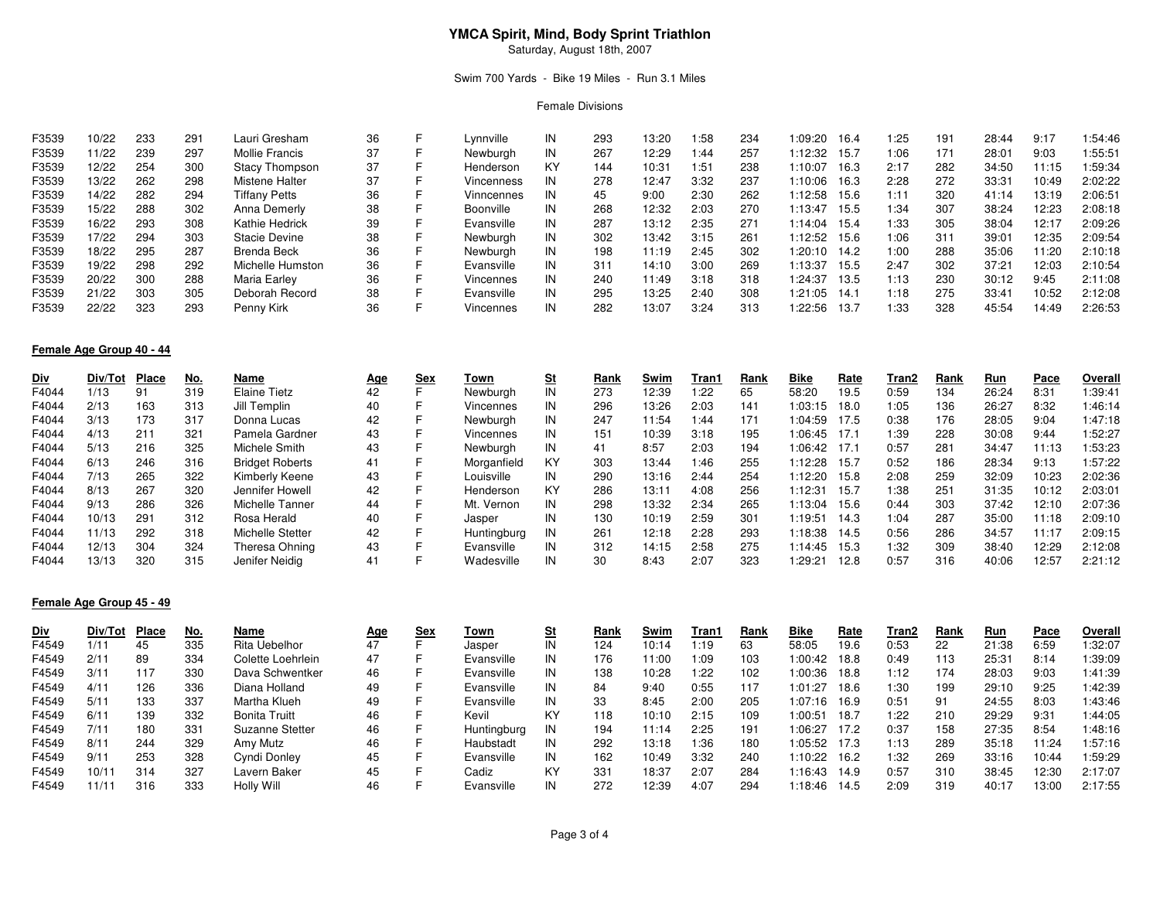# **YMCA Spirit, Mind, Body Sprint Triathlon**

Saturday, August 18th, 2007

## Swim 700 Yards - Bike 19 Miles - Run 3.1 Miles

#### Female Divisions

| F3539 | 10/22 | 233 | 291 | Lauri Gresham    | 36 |   | Lvnnville  | IN | 293 | 13:20 | :58  | 234 | 1:09:20 | 16.4  | 1:25 | 191 | 28:44 | 9:17  | :54:46  |
|-------|-------|-----|-----|------------------|----|---|------------|----|-----|-------|------|-----|---------|-------|------|-----|-------|-------|---------|
| F3539 | 11/22 | 239 | 297 | Mollie Francis   | 37 |   | Newburgh   | IN | 267 | 12:29 | 1:44 | 257 | 1:12:32 | 15.7  | 1:06 | 171 | 28:01 | 9:03  | 1:55:51 |
| F3539 | 12/22 | 254 | 300 | Stacy Thompson   | 37 |   | Henderson  | KY | 144 | 10:31 | 1:51 | 238 | 1:10:07 | 16.3  | 2:17 | 282 | 34:50 | 11:15 | :59:34  |
| F3539 | 13/22 | 262 | 298 | Mistene Halter   | 37 |   | Vincenness | IN | 278 | 12:47 | 3:32 | 237 | 1:10:06 | 16.3  | 2:28 | 272 | 33:31 | 10:49 | 2:02:22 |
| F3539 | 14/22 | 282 | 294 | Tiffany Petts    | 36 |   | Vinncennes | IN | 45  | 9:00  | 2:30 | 262 | l:12:58 | 15.6  | 1:11 | 320 | 41:14 | 13:19 | 2:06:51 |
| F3539 | 15/22 | 288 | 302 | Anna Demerly     | 38 |   | Boonville  | IN | 268 | 12:32 | 2:03 | 270 | 1:13:47 | 15.5  | 1:34 | 307 | 38:24 | 12:23 | 2:08:18 |
| F3539 | 16/22 | 293 | 308 | Kathie Hedrick   | 39 |   | Evansville | IN | 287 | 13:12 | 2:35 | 271 | 1:14:04 | 15.4  | 1:33 | 305 | 38:04 | 12:17 | 2:09:26 |
| F3539 | 17/22 | 294 | 303 | Stacie Devine    | 38 |   | Newburah   | IN | 302 | 13:42 | 3:15 | 261 | 1:12:52 | 15.6  | 1:06 | 311 | 39:01 | 12:35 | 2:09:54 |
| F3539 | 18/22 | 295 | 287 | Brenda Beck      | 36 |   | Newburah   | IN | 198 | 11:19 | 2:45 | 302 | 1:20:10 | 14.2  | 1:00 | 288 | 35:06 | 11:20 | 2:10:18 |
| F3539 | 19/22 | 298 | 292 | Michelle Humston | 36 |   | Evansville | IN | 311 | 14:10 | 3:00 | 269 | l:13:37 | 15.5  | 2:47 | 302 | 37:21 | 12:03 | 2:10:54 |
| F3539 | 20/22 | 300 | 288 | Maria Earley     | 36 |   | Vincennes  | IN | 240 | 11:49 | 3:18 | 318 | 1:24:37 | 13.5  | 1:13 | 230 | 30:12 | 9:45  | 2:11:08 |
| F3539 | 21/22 | 303 | 305 | Deborah Record   | 38 | ᆮ | Evansville | IN | 295 | 13:25 | 2:40 | 308 | 1:21:05 | 14.1  | 1:18 | 275 | 33:41 | 10:52 | 2:12:08 |
| F3539 | 22/22 | 323 | 293 | Penny Kirk       | 36 |   | Vincennes  | IN | 282 | 13:07 | 3:24 | 313 | 1:22:56 | -13.7 | 1:33 | 328 | 45:54 | 14:49 | 2:26:53 |

# **Female Age Group 40 - 44**

| <u>Div</u> | Div/Tot | Place | <u>No.</u> | Name                   | <u>Age</u> | <u>Sex</u> | Town        |    | Rank | Swim  | Tran 1 | Rank | Bike    | <u>Rate</u> | Tran2 | Rank | <u>Run</u> | Pace  | Overall |
|------------|---------|-------|------------|------------------------|------------|------------|-------------|----|------|-------|--------|------|---------|-------------|-------|------|------------|-------|---------|
| F4044      | 1/13    | 91    | 319        | <b>Elaine Tietz</b>    | 42         |            | Newburgh    |    | 273  | 12:39 | 1:22   | 65   | 58:20   | 19.5        | 0:59  | 134  | 26:24      | 8:31  | 1:39:41 |
| F4044      | 2/13    | 163   | 313        | Jill Templin           | 40         |            | Vincennes   | IN | 296  | 13:26 | 2:03   | 141  | 1:03:15 | 18.0        | 1:05  | 136  | 26:27      | 8:32  | 1:46:14 |
| F4044      | 3/13    | 173   | 317        | Donna Lucas            | 42         |            | Newburah    | IN | 247  | 11:54 | 1:44   | 171  | 1:04:59 | 17.5        | 0:38  | 176  | 28:05      | 9:04  | 1:47:18 |
| F4044      | 4/13    | 211   | 321        | Pamela Gardner         | 43         |            | Vincennes   | IN | 151  | 10:39 | 3:18   | 195  | 1:06:45 | -17.1       | 1:39  | 228  | 30:08      | 9:44  | 1:52:27 |
| F4044      | 5/13    | 216   | 325        | Michele Smith          | 43         |            | Newburgh    | IN | 41   | 8:57  | 2:03   | 194  | 1:06:42 | 17.1        | 0:57  | 281  | 34:47      | 11:13 | 1:53:23 |
| F4044      | 6/13    | 246   | 316        | <b>Bridget Roberts</b> | 41         |            | Morganfield | KY | 303  | 13:44 | 1:46   | 255  | 1:12:28 | 15.7        | 0:52  | 186  | 28:34      | 9:13  | 1:57:22 |
| F4044      | 7/13    | 265   | 322        | Kimberly Keene         | 43         |            | Louisville  | IN | 290  | 13:16 | 2:44   | 254  | 1:12:20 | 15.8        | 2:08  | 259  | 32:09      | 10:23 | 2:02:36 |
| F4044      | 8/13    | 267   | 320        | Jennifer Howell        | 42         |            | Henderson   | KY | 286  | 13:11 | 4:08   | 256  | 1:12:31 | 15.7        | 1:38  | 251  | 31:35      | 10:12 | 2:03:01 |
| F4044      | 9/13    | 286   | 326        | Michelle Tanner        | 44         |            | Mt. Vernon  | IN | 298  | 13:32 | 2:34   | 265  | 1:13:04 | 15.6        | 0:44  | 303  | 37:42      | 12:10 | 2:07:36 |
| F4044      | 10/13   | 291   | 312        | Rosa Herald            | 40         |            | Jasper      | IN | 130  | 10:19 | 2:59   | 301  | 1:19:51 | 14.3        | 1:04  | 287  | 35:00      | 11:18 | 2:09:10 |
| F4044      | 11/13   | 292   | 318        | Michelle Stetter       | 42         |            | Huntingburg | IN | 261  | 12:18 | 2:28   | 293  | 1:18:38 | 14.5        | 0:56  | 286  | 34:57      | 11:17 | 2:09:15 |
| F4044      | 12/13   | 304   | 324        | Theresa Ohning         | 43         |            | Evansville  | ΙN | 312  | 14:15 | 2:58   | 275  | 1:14:45 | 15.3        | 1:32  | 309  | 38:40      | 12:29 | 2:12:08 |
| F4044      | 13/13   | 320   | 315        | Jenifer Neidig         | 41         |            | Wadesville  | IN | 30   | 8:43  | 2:07   | 323  | 1:29:21 | 12.8        | 0:57  | 316  | 40:06      | 12:57 | 2:21:12 |

# **Female Age Group 45 - 49**

| <u>Div</u> | Div/Tot           | Place | No. | Name              | <u>Age</u> | Sex | Town        | <u>St</u> | Rank | Swim  | Tran1 | Rank | Bike    | <u>Rate</u> | Tran2 | Rank | Run   | Pace  | Overall |
|------------|-------------------|-------|-----|-------------------|------------|-----|-------------|-----------|------|-------|-------|------|---------|-------------|-------|------|-------|-------|---------|
| F4549      | 1/11              | 45    | 335 | Rita Uebelhor     | 47         |     | Jasper      | IN        | 124  | 10:14 | 1:19  | 63   | 58:05   | 19.6        | 0:53  | 22   | 21:38 | 6:59  | 1:32:07 |
| F4549      | 2/11              | 89    | 334 | Colette Loehrlein | 47         |     | Evansville  | IN        | 176  | 11:00 | 1:09  | 103  | 1:00:42 | 18.8        | 0:49  | 113  | 25:31 | 8:14  | 1:39:09 |
| F4549      | 3/11              | 117   | 330 | Dava Schwentker   | 46         |     | Evansville  | IN        | 138  | 10:28 | 1:22  | 102  | 1:00:36 | 18.8        | 1:12  | 174  | 28:03 | 9:03  | 1:41:39 |
| F4549      | 4/11              | 126   | 336 | Diana Holland     | 49         |     | Evansville  | IN        | 84   | 9:40  | 0:55  | 117  | 1:01:27 | 18.6        | 1:30  | 199  | 29:10 | 9:25  | 1:42:39 |
| F4549      | 5/11              | 133   | 337 | Martha Klueh      | 49         |     | Evansville  | IN        | 33   | 8:45  | 2:00  | 205  | 1:07:16 | 16.9        | 0:51  | 91   | 24:55 | 8:03  | 1:43:46 |
| F4549      | 6/11              | 139   | 332 | Bonita Truitt     | 46         |     | Kevil       | KY        | 118  | 10:10 | 2:15  | 109  | 1:00:51 | 18.7        | 1:22  | 210  | 29:29 | 9:31  | 1:44:05 |
| F4549      | 7/11              | 180   | 331 | Suzanne Stetter   | 46         |     | Huntingburg | IN        | 194  | 11:14 | 2:25  | 191  | 1:06:27 | 17.2        | 0:37  | 158  | 27:35 | 8:54  | 1:48:16 |
| F4549      | 8/11              | 244   | 329 | Amy Mutz          | 46         |     | Haubstadt   | IN        | 292  | 13:18 | 1:36  | 180  | 1:05:52 | 17.3        | 1:13  | 289  | 35:18 | 11:24 | 1:57:16 |
| F4549      | 9/11              | 253   | 328 | Cyndi Donley      | 45         |     | Evansville  | IN        | 162  | 10:49 | 3:32  | 240  | 1:10:22 | 16.2        | 1:32  | 269  | 33:16 | 10:44 | 1:59:29 |
| F4549      | 10/1 <sup>1</sup> | 314   | 327 | Lavern Baker      | 45         |     | Cadiz       | KY        | 331  | 18:37 | 2:07  | 284  | 1:16:43 | 14.9        | 0:57  | 310  | 38:45 | 12:30 | 2:17:07 |
| F4549      | 11/1              | 316   | 333 | Holly Will        | 46         |     | Evansville  | IN        | 272  | 12:39 | 4:07  | 294  | l:18:46 | 14.5        | 2:09  | 319  | 40:17 | 13:00 | 2:17:55 |